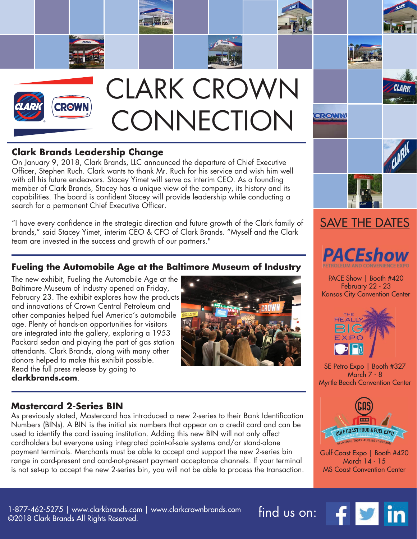

## **Clark Brands Leadership Change**

On January 9, 2018, Clark Brands, LLC announced the departure of Chief Executive Officer, Stephen Ruch. Clark wants to thank Mr. Ruch for his service and wish him well with all his future endeavors. Stacey Yimet will serve as interim CEO. As a founding member of Clark Brands, Stacey has a unique view of the company, its history and its capabilities. The board is confident Stacey will provide leadership while conducting a search for a permanent Chief Executive Officer.

"I have every confidence in the strategic direction and future growth of the Clark family of brands," said Stacey Yimet, interim CEO & CFO of Clark Brands. "Myself and the Clark team are invested in the success and growth of our partners."

## **Fueling the Automobile Age at the Baltimore Museum of Industry**

The new exhibit, Fueling the Automobile Age at the Baltimore Museum of Industry opened on Friday, February 23. The exhibit explores how the products and innovations of Crown Central Petroleum and other companies helped fuel America's automobile age. Plenty of hands-on opportunities for visitors are integrated into the gallery, exploring a 1953 Packard sedan and playing the part of gas station attendants. Clark Brands, along with many other donors helped to make this exhibit possible. Read the full press release by going to **clarkbrands.com**.





PACE Show | Booth #420 February 22 - 23 Kansas City Convention Center



SE Petro Expo | Booth #327 March 7 - 8 Myrtle Beach Convention Center



Gulf Coast Expo | Booth #420 March 14 - 15 MS Coast Convention Center

1-877-462-5275 | www.clarkbrands.com | www.clarkcrownbrands.com find us on: ©2018 Clark Brands All Rights Reserved.